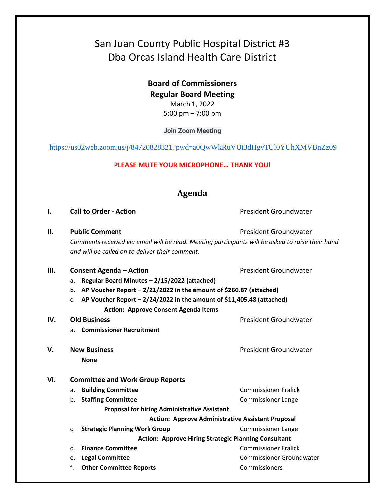# San Juan County Public Hospital District #3 Dba Orcas Island Health Care District

**Board of Commissioners Regular Board Meeting**  March 1, 2022 5:00 pm – 7:00 pm

**Join Zoom Meeting**

<https://us02web.zoom.us/j/84720828321?pwd=a0QwWkRuVUt3dHgvTUl0YUhXMVBnZz09>

**PLEASE MUTE YOUR MICROPHONE… THANK YOU!**

## **Agenda**

#### **I. Call to Order - Action Call to Order - Action President Groundwater**

**II. Public Comment President Groundwater President Groundwater** *Comments received via email will be read. Meeting participants will be asked to raise their hand and will be called on to deliver their comment.*

#### **III. Consent Agenda – Action Consexual Action President Groundwater**

- a. **Regular Board Minutes – 2/15/2022 (attached)**
- b. **AP Voucher Report – 2/21/2022 in the amount of \$260.87 (attached)**
- c. **AP Voucher Report – 2/24/2022 in the amount of \$11,405.48 (attached) Action: Approve Consent Agenda Items**

#### **IV.** Old Business **President Groundwater President Groundwater**

- a. **Commissioner Recruitment**
- **V.** New Business **President Groundwater President Groundwater None**

#### **VI. Committee and Work Group Reports**

- a. **Building Committee** Commissioner Fralick b. **Staffing Committee Commissioner Lange Proposal for hiring Administrative Assistant Action: Approve Administrative Assistant Proposal** c. **Strategic Planning Work Group** Commissioner Lange **Action: Approve Hiring Strategic Planning Consultant**  d. **Finance Committee** Commissioner Fralick
- e. **Legal Committee** Commissioner Groundwater
- f. **Other Committee Reports** Commissioners